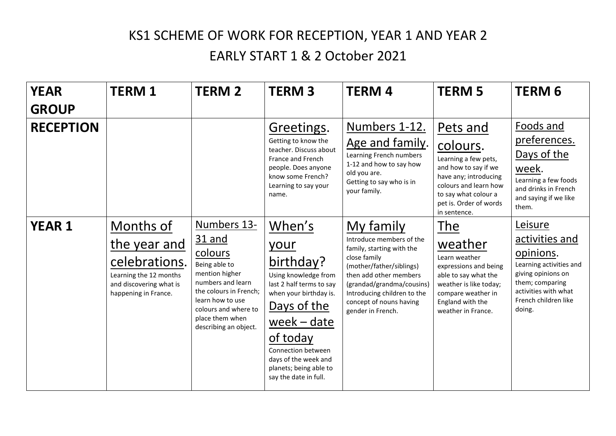## KS1 SCHEME OF WORK FOR RECEPTION, YEAR 1 AND YEAR 2

## EARLY START 1 & 2 October 2021

| <b>YEAR</b><br><b>GROUP</b> | <b>TERM1</b>                                                                                                            | <b>TERM 2</b>                                                                                                                                                                                                     | <b>TERM3</b>                                                                                                                                                                                                                                           | <b>TERM4</b>                                                                                                                                                                                                                                         | <b>TERM 5</b>                                                                                                                                                                            | <b>TERM 6</b>                                                                                                                                                        |
|-----------------------------|-------------------------------------------------------------------------------------------------------------------------|-------------------------------------------------------------------------------------------------------------------------------------------------------------------------------------------------------------------|--------------------------------------------------------------------------------------------------------------------------------------------------------------------------------------------------------------------------------------------------------|------------------------------------------------------------------------------------------------------------------------------------------------------------------------------------------------------------------------------------------------------|------------------------------------------------------------------------------------------------------------------------------------------------------------------------------------------|----------------------------------------------------------------------------------------------------------------------------------------------------------------------|
| <b>RECEPTION</b>            |                                                                                                                         |                                                                                                                                                                                                                   | Greetings.<br>Getting to know the<br>teacher. Discuss about<br>France and French<br>people. Does anyone<br>know some French?<br>Learning to say your<br>name.                                                                                          | Numbers 1-12.<br>Age and family.<br>Learning French numbers<br>1-12 and how to say how<br>old you are.<br>Getting to say who is in<br>your family.                                                                                                   | Pets and<br>colours.<br>Learning a few pets,<br>and how to say if we<br>have any; introducing<br>colours and learn how<br>to say what colour a<br>pet is. Order of words<br>in sentence. | Foods and<br>preferences.<br>Days of the<br>week.<br>Learning a few foods<br>and drinks in French<br>and saying if we like<br>them.                                  |
| <b>YEAR 1</b>               | Months of<br>the year and<br>celebrations.<br>Learning the 12 months<br>and discovering what is<br>happening in France. | Numbers 13-<br><u>31 and</u><br>colours<br>Being able to<br>mention higher<br>numbers and learn<br>the colours in French;<br>learn how to use<br>colours and where to<br>place them when<br>describing an object. | When's<br>your<br>birthday?<br>Using knowledge from<br>last 2 half terms to say<br>when your birthday is.<br>Days of the<br>$week$ – date<br>of today<br>Connection between<br>days of the week and<br>planets; being able to<br>say the date in full. | My family<br>Introduce members of the<br>family, starting with the<br>close family<br>(mother/father/siblings)<br>then add other members<br>(grandad/grandma/cousins)<br>Introducing children to the<br>concept of nouns having<br>gender in French. | The<br>weather<br>Learn weather<br>expressions and being<br>able to say what the<br>weather is like today;<br>compare weather in<br>England with the<br>weather in France.               | Leisure<br>activities and<br>opinions.<br>Learning activities and<br>giving opinions on<br>them; comparing<br>activities with what<br>French children like<br>doing. |